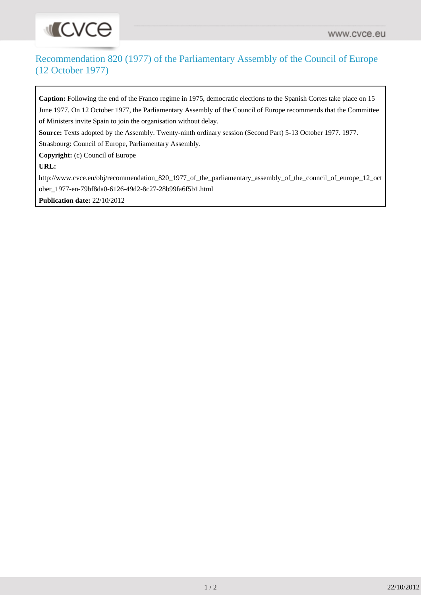## **INCVCO**

## Recommendation 820 (1977) of the Parliamentary Assembly of the Council of Europe (12 October 1977)

**Caption:** Following the end of the Franco regime in 1975, democratic elections to the Spanish Cortes take place on 15 June 1977. On 12 October 1977, the Parliamentary Assembly of the Council of Europe recommends that the Committee of Ministers invite Spain to join the organisation without delay.

**Source:** Texts adopted by the Assembly. Twenty-ninth ordinary session (Second Part) 5-13 October 1977. 1977. Strasbourg: Council of Europe, Parliamentary Assembly.

**Copyright:** (c) Council of Europe

**URL:**

[http://www.cvce.eu/obj/recommendation\\_820\\_1977\\_of\\_the\\_parliamentary\\_assembly\\_of\\_the\\_council\\_of\\_europe\\_12\\_oct](http://www.cvce.eu/obj/recommendation_820_1977_of_the_parliamentary_assembly_of_the_council_of_europe_12_october_1977-en-79bf8da0-6126-49d2-8c27-28b99fa6f5b1.html) [ober\\_1977-en-79bf8da0-6126-49d2-8c27-28b99fa6f5b1.html](http://www.cvce.eu/obj/recommendation_820_1977_of_the_parliamentary_assembly_of_the_council_of_europe_12_october_1977-en-79bf8da0-6126-49d2-8c27-28b99fa6f5b1.html)

**Publication date:** 22/10/2012